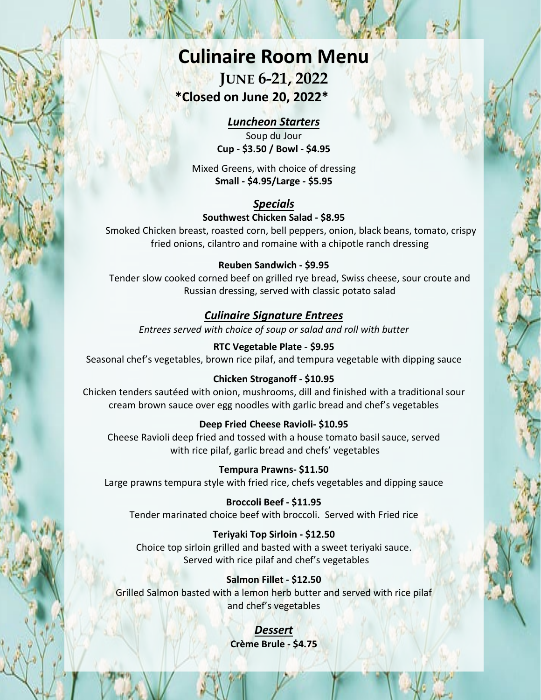# **Culinaire Room Menu**

# **JUNE 6-21, 2022 \*Closed on June 20, 2022\***

## *Luncheon Starters*

Soup du Jour **Cup - \$3.50 / Bowl - \$4.95** 

Mixed Greens, with choice of dressing **Small - \$4.95/Large - \$5.95** 

# *Specials*

#### **Southwest Chicken Salad - \$8.95**

Smoked Chicken breast, roasted corn, bell peppers, onion, black beans, tomato, crispy fried onions, cilantro and romaine with a chipotle ranch dressing

### **Reuben Sandwich - \$9.95**

Tender slow cooked corned beef on grilled rye bread, Swiss cheese, sour croute and Russian dressing, served with classic potato salad

# *Culinaire Signature Entrees*

*Entrees served with choice of soup or salad and roll with butter*

**RTC Vegetable Plate - \$9.95** Seasonal chef's vegetables, brown rice pilaf, and tempura vegetable with dipping sauce

### **Chicken Stroganoff - \$10.95**

Chicken tenders sautéed with onion, mushrooms, dill and finished with a traditional sour cream brown sauce over egg noodles with garlic bread and chef's vegetables

#### **Deep Fried Cheese Ravioli- \$10.95**

Cheese Ravioli deep fried and tossed with a house tomato basil sauce, served with rice pilaf, garlic bread and chefs' vegetables

#### **Tempura Prawns- \$11.50**

Large prawns tempura style with fried rice, chefs vegetables and dipping sauce

**Broccoli Beef - \$11.95** 

Tender marinated choice beef with broccoli. Served with Fried rice

### **Teriyaki Top Sirloin - \$12.50**

Choice top sirloin grilled and basted with a sweet teriyaki sauce. Served with rice pilaf and chef's vegetables

#### **Salmon Fillet - \$12.50**

Grilled Salmon basted with a lemon herb butter and served with rice pilaf and chef's vegetables

> *Dessert* **Crème Brule - \$4.75**